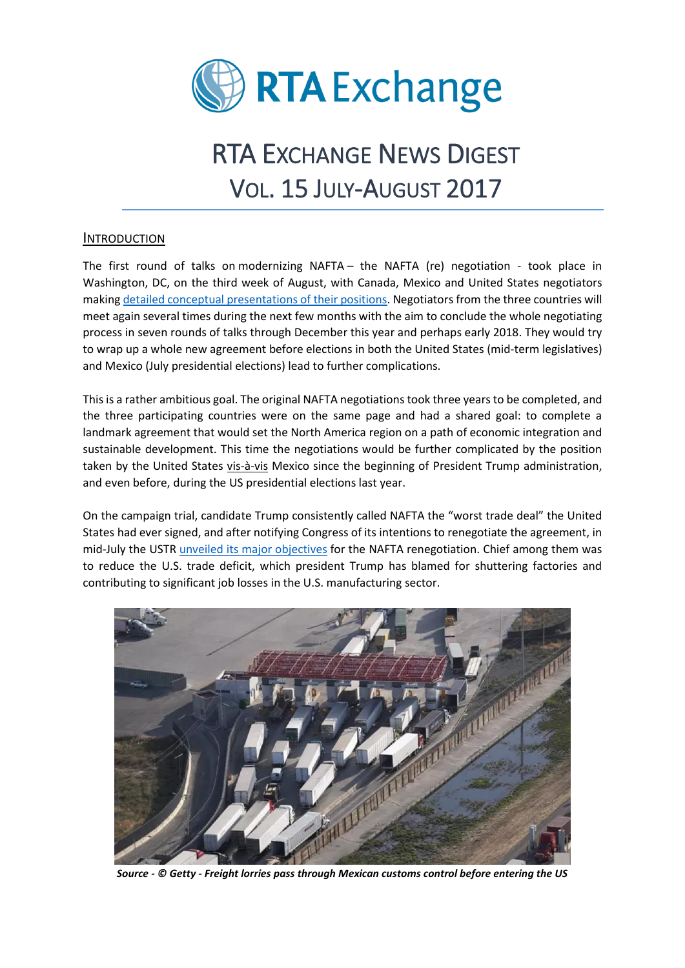

# RTA EXCHANGE NEWS DIGEST VOL. 15 JULY-AUGUST 2017

### INTRODUCTION

The first round of talks on [modernizing NAFTA](http://www.reuters.com/article/us-trade-nafta-factbox-idUSKCN1AW09O) – the NAFTA (re) negotiation - took place in Washington, DC, on the third week of August, with Canada, Mexico and United States negotiators making [detailed conceptual presentations of their positions.](http://www.reuters.com/article/us-trade-nafta-factbox/factbox-key-issues-in-the-nafta-renegotiations-idUSKCN1AW09O) Negotiators from the three countries will meet again several times during the next few months with the aim to conclude the whole negotiating process in seven rounds of talks through December this year and perhaps early 2018. They would try to wrap up a whole new agreement before elections in both the United States (mid-term legislatives) and Mexico (July presidential elections) lead to further complications.

This is a rather ambitious goal. The original NAFTA negotiations took three years to be completed, and the three participating countries were on the same page and had a shared goal: to complete a landmark agreement that would set the North America region on a path of economic integration and sustainable development. This time the negotiations would be further complicated by the position taken by the United States vis-à-vis Mexico since the beginning of President Trump administration, and even before, during the US presidential elections last year.

On the campaign trial, candidate Trump consistently called NAFTA the "worst trade deal" the United States had ever signed, and after notifying Congress of its intentions to renegotiate the agreement, in mid-July the USTR [unveiled its major objectives](https://ustr.gov/sites/default/files/files/Press/Releases/NAFTAObjectives.pdf) for the NAFTA renegotiation. Chief among them was to reduce the U.S. trade deficit, which president Trump has blamed for shuttering factories and contributing to significant job losses in the U.S. manufacturing sector.



*Source - © Getty - Freight lorries pass through Mexican customs control before entering the US*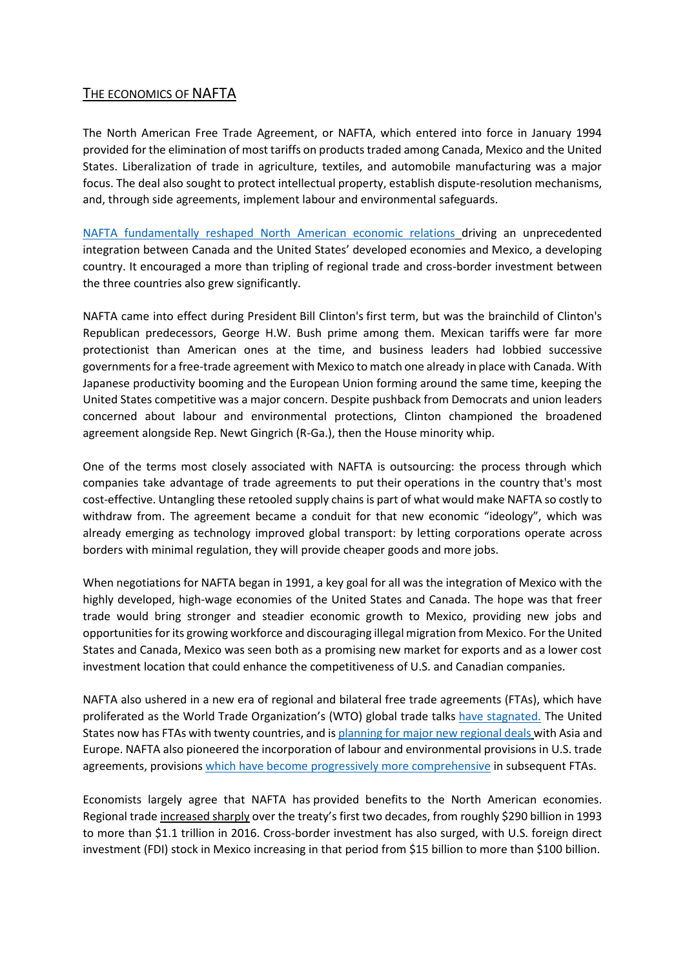## THE ECONOMICS OF NAFTA

The North American Free Trade Agreement, or NAFTA, which entered into force in January 1994 provided for the elimination of most tariffs on products traded among Canada, Mexico and the United States. Liberalization of trade in agriculture, textiles, and automobile manufacturing was a major focus. The deal also sought to protect intellectual property, establish dispute-resolution mechanisms, and, through side agreements, implement labour and environmental safeguards.

[NAFTA fundamentally reshaped North American economic relations](https://www.cfr.org/backgrounder/naftas-economic-impact) driving an unprecedented integration between Canada and the United States' developed economies and Mexico, a developing country. It encouraged a more than tripling of regional trade and cross-border investment between the three countries also grew significantly.

NAFTA came into effect during President Bill Clinton's first term, but was the brainchild of Clinton's Republican predecessors, George H.W. Bush prime among them. Mexican tariffs were far more protectionist than American ones at the time, and business leaders had lobbied successive governments for a free-trade agreement with Mexico to match one already in place with Canada. With Japanese productivity booming and the European Union forming around the same time, keeping the United States competitive was a major concern. Despite pushback from Democrats and union leaders concerned about labour and environmental protections, Clinton championed the broadened agreement alongside Rep. Newt Gingrich (R-Ga.), then the House minority whip.

One of the terms most closely associated with NAFTA is outsourcing: the process through which companies take advantage of trade agreements to put their operations in the country that's most cost-effective. Untangling these retooled supply chains is part of what would make NAFTA so costly to withdraw from. The agreement became a conduit for that new economic "ideology", which was already emerging as technology improved global transport: by letting corporations operate across borders with minimal regulation, they will provide cheaper goods and more jobs.

When negotiations for NAFTA began in 1991, a key goal for all was the integration of Mexico with the highly developed, high-wage economies of the United States and Canada. The hope was that freer trade would bring stronger and steadier economic growth to Mexico, providing new jobs and opportunities for its growing workforce and discouraging illegal migration from Mexico. For the United States and Canada, Mexico was seen both as a promising new market for exports and as a lower cost investment location that could enhance the competitiveness of U.S. and Canadian companies.

NAFTA also ushered in a new era of regional and bilateral free trade agreements (FTAs), which have proliferated as the World Trade Organization's (WTO) global trade talks [have stagnated.](http://www.nytimes.com/2016/01/01/opinion/global-trade-after-the-failure-of-the-doha-round.html) The United States now has FTAs with twenty countries, and is planning for [major new regional deals](http://www.cfr.org/trade/future-us-trade-policy/p36422) with Asia and Europe. NAFTA also pioneered the incorporation of labour and environmental provisions in U.S. trade agreements, provisions which have become [progressively more comprehensive](https://www.fas.org/sgp/crs/misc/RS22823.pdf) in subsequent FTAs.

Economists largely agree that NAFTA has [provided benefits](http://faculty.som.yale.edu/lorenzocaliendo/ETWENAFTA.pdf) to the North American economies. Regional trade [increased sharply](https://www.fas.org/sgp/crs/row/R42965.pdf) over the treaty's first two decades, from roughly \$290 billion in 1993 to more than \$1.1 trillion in 2016. Cross-border investment has also surged, with U.S. foreign direct investment (FDI) stock in Mexico increasing in that period from \$15 billion to more than \$100 billion.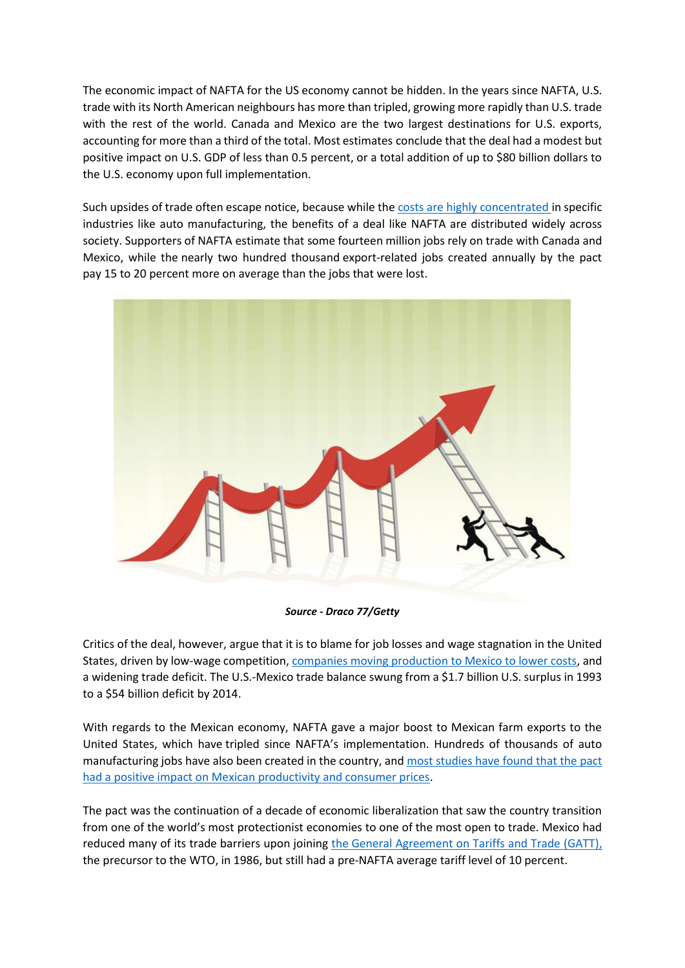The economic impact of NAFTA for the US economy cannot be hidden. In the years since NAFTA, U.S. trade with its North American neighbours has more than tripled, growing more rapidly than U.S. trade with the rest of the world. Canada and Mexico are the two largest destinations for U.S. exports, accounting for more than a third of the total. Most estimates [conclude](https://www.fas.org/sgp/crs/row/R42965.pdf) that the deal had a modest but positive impact on U.S. GDP of less than 0.5 percent, or a total addition of up to \$80 billion dollars to the U.S. economy upon full implementation.

Such upsides of trade often escape notice, because while the costs are [highly concentrated](https://www.nytimes.com/2016/03/16/business/economy/on-trade-angry-voters-have-a-point.html?version=meter+at+0&module=meter-Links&pgtype=article&contentId=&mediaId=&referrer=&priority=true&action=click&contentCollection=meter-links-click) in specific industries like auto manufacturing, the benefits of a deal like NAFTA are distributed widely across society. Supporters of NAFTA [estimate that](https://www.foreignaffairs.com/articles/canada/2013-12-06/naftas-economic-upsides) some fourteen million jobs rely on trade with Canada and Mexico, while the [nearly two hundred thousand](https://piie.com/blogs/realtime-economic-issues-watch/nafta-rejoinder-us-effects-are-clearly-positive-most-workers) export-related jobs created annually by the pact pay 15 to 20 percent more on average than the jobs that were lost.



*Source - Draco 77/Getty*

Critics of the deal, however, argue that it is to blame for job losses and wage stagnation in the United States, driven by low-wage competition, companies moving production [to Mexico to lower costs,](http://www.nytimes.com/2016/03/20/business/economy/carrier-workers-see-costs-not-benefits-of-global-trade.html?_r=1) and a widening trade deficit. The U.S.-Mexico trade balance swung from a \$1.7 billion U.S. surplus in 1993 to a \$54 billion deficit by 2014.

With regards to the Mexican economy, NAFTA gave a major boost to Mexican farm exports to the United States, which have [tripled since NAFTA's implementatio](http://www.economist.com/world/la/displaystory.cfm?story_id=10566845)n. Hundreds of thousands of auto manufacturing jobs have also been created in the country, and [most studies have found](https://www.fas.org/sgp/crs/row/R42965.pdf) that the pact [had a positive impact on Mexican productivity and consumer prices.](https://www.fas.org/sgp/crs/row/R42965.pdf)

The pact was the continuation of a decade of economic liberalization that saw the country transition from one of the world's most protectionist economies to one of the most open to trade. Mexico had reduced many of its trade barriers upon joining the [General Agreement on Tariffs and Trade \(GATT\),](https://www.wto.org/english/thewto_e/whatis_e/inbrief_e/inbr01_e.htm) the precursor to the WTO, in 1986, but still had a [pre-NAFTA average tariff level](https://www.usitc.gov/publications/332/pub2353.pdf) of 10 percent.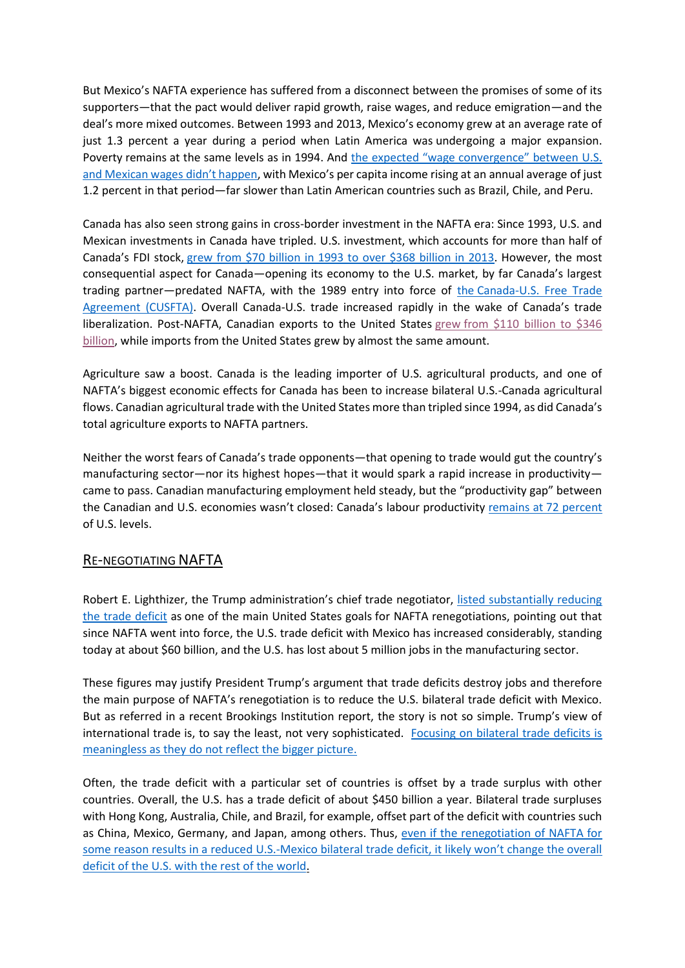But Mexico's NAFTA experience has suffered from a disconnect between the promises of some of its supporters—that the pact would deliver rapid growth, raise wages, and reduce emigration—and the deal's more mixed outcomes. Between 1993 and 2013, Mexico's economy grew at an average rate of just 1.3 percent a year during a period when Latin America was [undergoing a major expansion.](http://www.americasquarterly.org/content/latin-american-growth-slowdown) Poverty [remains](http://www.economist.com/news/briefing/21592631-two-decades-ago-north-american-free-trade-agreement-got-flying-start-then-it) at the same levels as in 1994. And [the expected "wage convergence" between U.S.](http://www.cgdev.org/blog/us-mexico-wage-gap-has-grown-not-shrunk-under-nafta-awkward)  [and Mexican wages](http://www.cgdev.org/blog/us-mexico-wage-gap-has-grown-not-shrunk-under-nafta-awkward) didn't happen, with Mexico's per capita income rising at an [annual average](https://www.foreignaffairs.com/articles/canada/2013-12-06/naftas-mixed-record) of just 1.2 percent in that period—far slower than Latin American countries such as Brazil, Chile, and Peru.

Canada has also seen strong gains in cross-border investment in the NAFTA era: Since 1993, U.S. and Mexican investments in Canada have tripled. U.S. investment, which accounts for more than half of Canada's FDI stock, grew from [\\$70 billion in 1993 to over \\$368 billion in 2013.](https://www.fas.org/sgp/crs/row/R42965.pdf) However, the most consequential aspect for Canada—opening its economy to the U.S. market, by far Canada's largest trading partner-predated NAFTA, with the 1989 entry into force of the Canada-U.S. Free Trade [Agreement \(CUSFTA\).](http://www.international.gc.ca/trade-agreements-accords-commerciaux/agr-acc/fta-ale.aspx?lang=eng) Overall Canada-U.S. trade increased rapidly in the wake of Canada's trade liberalization. Post-NAFTA, Canadian exports to the United States grew [from \\$110 billion to \\$346](https://www.fas.org/sgp/crs/row/R42965.pdf)  [billion,](https://www.fas.org/sgp/crs/row/R42965.pdf) while imports from the United States grew by almost the same amount.

Agriculture saw a boost. Canada is the leading importer of U.S. agricultural products, and one of NAFTA's biggest economic effects for Canada has been to increase bilateral U.S.-Canada agricultural flows. Canadian agricultural trade with the United States more than tripled since 1994, as did Canada's total agriculture exports to NAFTA partners.

Neither the worst fears of Canada's trade opponents—that opening to trade would gut the country's manufacturing sector—nor its highest hopes—that it would spark a rapid increase in productivity came to pass. Canadian manufacturing employment held steady, but the "productivity gap" between the Canadian and U.S. economies wasn't closed: Canada's labour productivity remains at [72 percent](https://fas.org/sgp/crs/row/R42965.pdf) of U.S. levels.

#### RE-NEGOTIATING NAFTA

Robert E. Lighthizer, the Trump administration's chief trade negotiator, [listed substantially reducing](https://www.washingtonpost.com/news/wonk/wp/2017/08/16/nafta-talks-are-a-major-test-for-trump-and-they-wont-be-easy/?utm_term=.879fc541340e)  [the trade deficit](https://www.washingtonpost.com/news/wonk/wp/2017/08/16/nafta-talks-are-a-major-test-for-trump-and-they-wont-be-easy/?utm_term=.879fc541340e) as one of the main United States goals for NAFTA renegotiations, pointing out that since NAFTA went into force, the U.S. trade deficit with Mexico has increased considerably, standing today at about \$60 billion, and the U.S. has lost about 5 million jobs in the manufacturing sector.

These figures may justify President Trump's argument that trade deficits destroy jobs and therefore the main purpose of NAFTA's renegotiation is to reduce the U.S. bilateral trade deficit with Mexico. But as referred in a recent Brookings Institution report, the story is not so simple. Trump's view of international trade is, to say the least, not very sophisticated. [Focusing on bilateral trade deficits is](https://www.brookings.edu/blog/up-front/2017/08/17/when-renegotiating-nafta-trump-should-re-evaluate-his-premises-on-international-trade/)  [meaningless as they do not reflect the bigger picture.](https://www.brookings.edu/blog/up-front/2017/08/17/when-renegotiating-nafta-trump-should-re-evaluate-his-premises-on-international-trade/)

Often, the trade deficit with a particular set of countries is offset by a trade surplus with other countries. Overall, the U.S. has a trade deficit of about \$450 billion a year. Bilateral trade surpluses with Hong Kong, Australia, Chile, and Brazil, for example, offset part of the deficit with countries such as China, Mexico, Germany, and Japan, among others. Thus, even if the renegotiation of NAFTA for some reason results in a reduced U.S.-[Mexico bilateral trade deficit, it likely won't change the overall](https://www.brookings.edu/blog/up-front/2017/08/17/when-renegotiating-nafta-trump-should-re-evaluate-his-premises-on-international-trade/)  [deficit of the U.S. with the rest of the world.](https://www.brookings.edu/blog/up-front/2017/08/17/when-renegotiating-nafta-trump-should-re-evaluate-his-premises-on-international-trade/)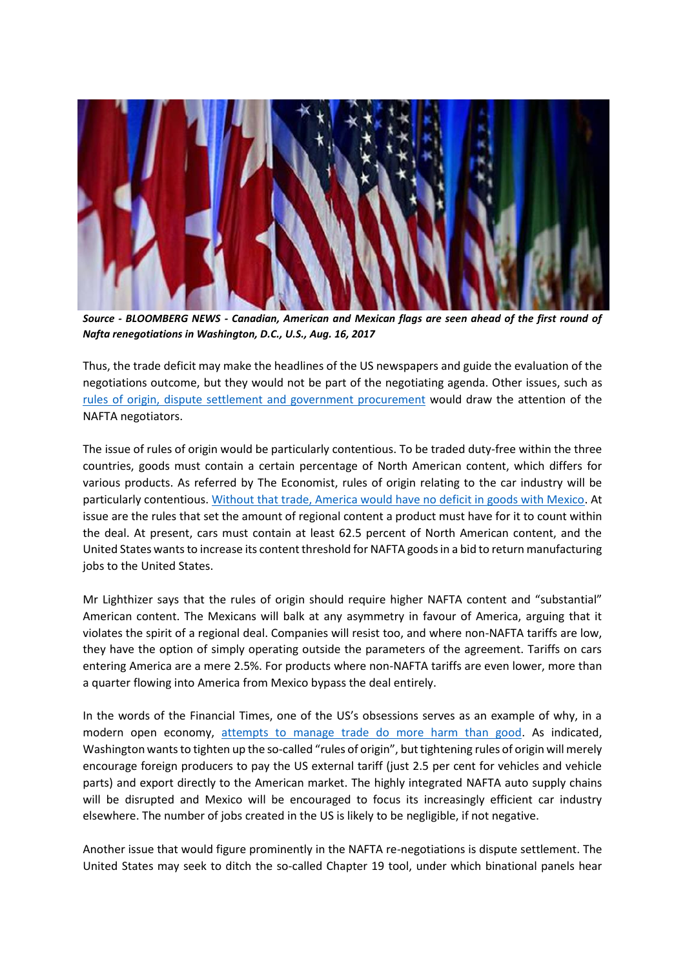

*Source - BLOOMBERG NEWS - Canadian, American and Mexican flags are seen ahead of the first round of Nafta renegotiations in Washington, D.C., U.S., Aug. 16, 2017*

Thus, the trade deficit may make the headlines of the US newspapers and guide the evaluation of the negotiations outcome, but they would not be part of the negotiating agenda. Other issues, such as [rules of origin, dispute settlement and government procurement](http://www.reuters.com/article/us-trade-nafta-factbox-idUSKCN1AW09O) would draw the attention of the NAFTA negotiators.

The issue of rules of origin would be particularly contentious. To be traded duty-free within the three countries, goods must contain a certain percentage of North American content, which differs for various products. As referred by The Economist, rules of origin relating to the car industry will be particularly contentious. [Without that trade, America would have no deficit in goods with Mexico.](https://www.economist.com/news/finance-and-economics/21726711-rewriting-north-americas-trade-rules-will-not-be-easy-north-american-free-trade?cid1=cust/ddnew/n/n/n/20170817n/owned/n/n/nwl/n/n/E/Daily_Dispatch/email&etear=dailydispatch) At issue are the rules that set the amount of regional content a product must have for it to count within the deal. At present, cars must contain at least 62.5 percent of North American content, and the United States wants to increase its content threshold for NAFTA goods in a bid to return manufacturing jobs to the United States.

Mr Lighthizer says that the rules of origin should require higher NAFTA content and "substantial" American content. The Mexicans will balk at any asymmetry in favour of America, arguing that it violates the spirit of a regional deal. Companies will resist too, and where non-NAFTA tariffs are low, they have the option of simply operating outside the parameters of the agreement. Tariffs on cars entering America are a mere 2.5%. For products where non-NAFTA tariffs are even lower, more than a quarter flowing into America from Mexico bypass the deal entirely.

In the words of the Financial Times, one of the US's obsessions serves as an example of why, in a modern open economy, [attempts to manage trade do more harm than good.](https://www.ft.com/content/277ccf92-834c-11e7-a4ce-15b2513cb3ff) As indicated, Washington wants to tighten up the so-called "rules of origin", but tightening rules of origin will merely encourage foreign producers to pay the US external tariff (just 2.5 per cent for vehicles and vehicle parts) and export directly to the American market. The highly integrated NAFTA auto supply chains will be disrupted and Mexico will be encouraged to focus its increasingly efficient car industry elsewhere. The number of jobs created in the US is likely to be negligible, if not negative.

Another issue that would figure prominently in the NAFTA re-negotiations is dispute settlement. The United States may seek to ditch the so-called Chapter 19 tool, under which binational panels hear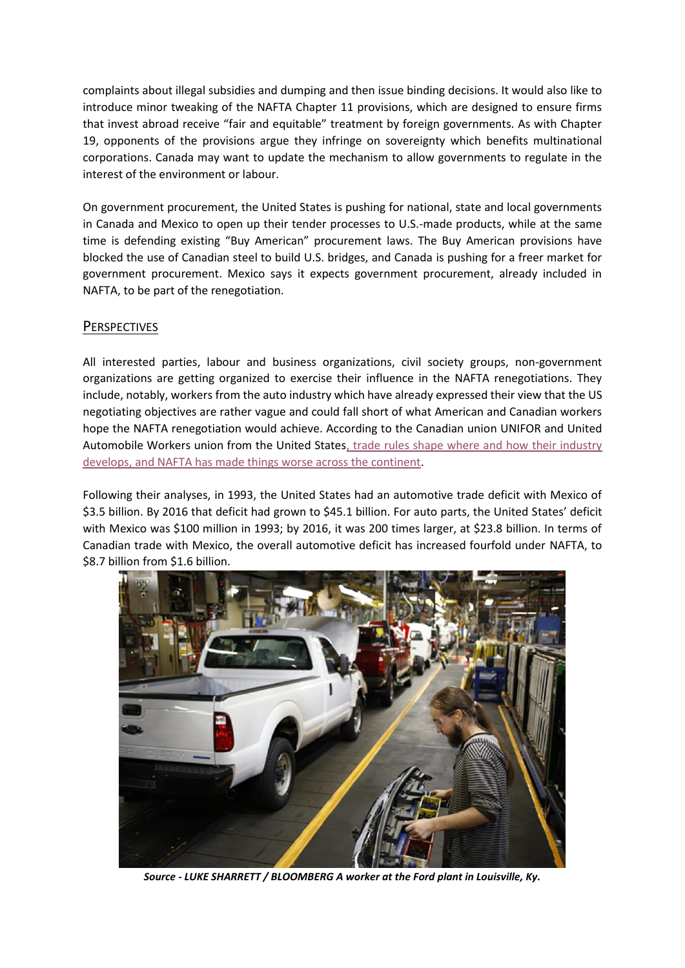complaints about illegal subsidies and dumping and then issue binding decisions. It would also like to introduce minor tweaking of the NAFTA Chapter 11 provisions, which are designed to ensure firms that invest abroad receive "fair and equitable" treatment by foreign governments. As with Chapter 19, opponents of the provisions argue they infringe on sovereignty which benefits multinational corporations. Canada may want to update the mechanism to allow governments to regulate in the interest of the environment or labour.

On government procurement, the United States is pushing for national, state and local governments in Canada and Mexico to open up their tender processes to U.S.-made products, while at the same time is defending existing "Buy American" procurement laws. The Buy American provisions have blocked the use of Canadian steel to build U.S. bridges, and Canada is pushing for a freer market for government procurement. Mexico says it expects government procurement, already included in NAFTA, to be part of the renegotiation.

## **PERSPECTIVES**

All interested parties, labour and business organizations, civil society groups, non-government organizations are getting organized to exercise their influence in the NAFTA renegotiations. They include, notably, workers from the auto industry which have already expressed their view that the US negotiating objectives are rather vague and could fall short of what American and Canadian workers hope the NAFTA renegotiation would achieve. According to the Canadian union UNIFOR and United Automobile Workers union from the United State[s, trade rules shape where and how their industry](https://mobile.nytimes.com/2017/07/21/opinion/dont-tinker-with-nafta-fix-it.html?emc=edit_th_20170722&nl=todaysheadlines&nlid=59885640&referer)  [develops, and NAFTA has made things worse across the continent.](https://mobile.nytimes.com/2017/07/21/opinion/dont-tinker-with-nafta-fix-it.html?emc=edit_th_20170722&nl=todaysheadlines&nlid=59885640&referer)

Following their analyses, in 1993, the United States had an automotive trade deficit with Mexico of \$3.5 billion. By 2016 that deficit had grown to \$45.1 billion. For auto parts, the United States' deficit with Mexico was \$100 million in 1993; by 2016, it was 200 times larger, at \$23.8 billion. In terms of Canadian trade with Mexico, the overall automotive deficit has increased fourfold under NAFTA, to \$8.7 billion from \$1.6 billion.



*Source - LUKE SHARRETT / BLOOMBERG A worker at the Ford plant in Louisville, Ky.*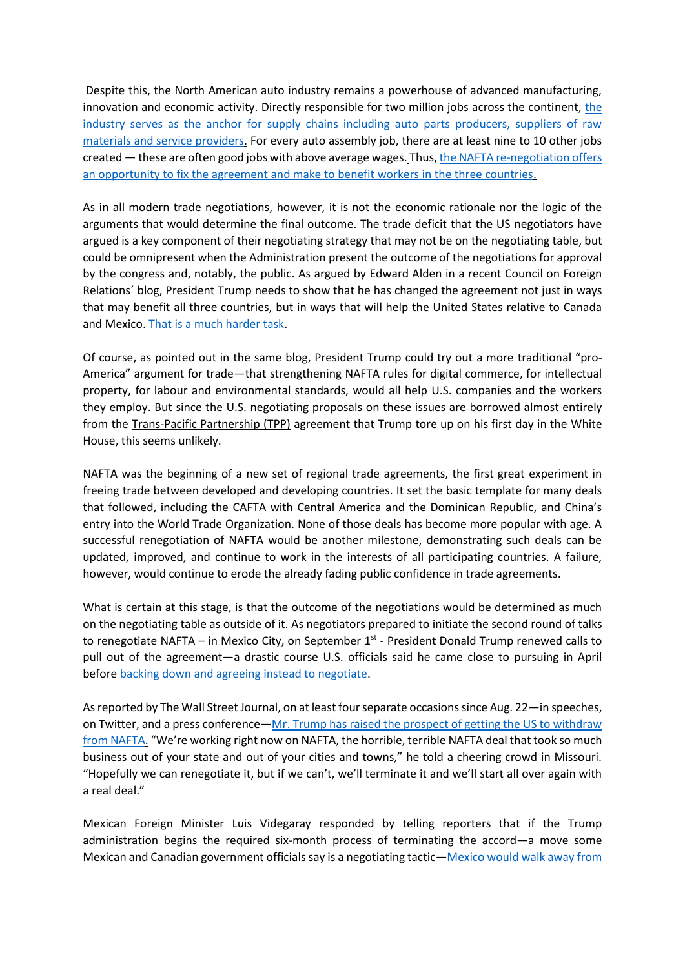Despite this, the North American auto industry remains a powerhouse of advanced manufacturing, innovation and economic activity. Directly responsible for two million jobs across [the](https://mobile.nytimes.com/2017/07/21/opinion/dont-tinker-with-nafta-fix-it.html?emc=edit_th_20170722&nl=todaysheadlines&nlid=59885640&referer) continent, the [industry serves as the anchor for supply chains including auto parts producers, suppliers of raw](https://mobile.nytimes.com/2017/07/21/opinion/dont-tinker-with-nafta-fix-it.html?emc=edit_th_20170722&nl=todaysheadlines&nlid=59885640&referer)  [materials and service providers.](https://mobile.nytimes.com/2017/07/21/opinion/dont-tinker-with-nafta-fix-it.html?emc=edit_th_20170722&nl=todaysheadlines&nlid=59885640&referer) For every auto assembly job, there are at least nine to 10 other jobs created — these are often good jobs with above average wages. Thus[, the NAFTA re-negotiation offers](https://mobile.nytimes.com/2017/07/21/opinion/dont-tinker-with-nafta-fix-it.html?emc=edit_th_20170722&nl=todaysheadlines&nlid=59885640&referer)  [an opportunity to fix the agreement and make to benefit workers in the three countries.](https://mobile.nytimes.com/2017/07/21/opinion/dont-tinker-with-nafta-fix-it.html?emc=edit_th_20170722&nl=todaysheadlines&nlid=59885640&referer)

As in all modern trade negotiations, however, it is not the economic rationale nor the logic of the arguments that would determine the final outcome. The trade deficit that the US negotiators have argued is a key component of their negotiating strategy that may not be on the negotiating table, but could be omnipresent when the Administration present the outcome of the negotiations for approval by the congress and, notably, the public. As argued by Edward Alden in a recent Council on Foreign Relations´ blog, President Trump needs to show that he has changed the agreement not just in ways that may benefit all three countries, but in ways that will help the United States relative to Canada and Mexico. [That is a much harder task.](https://www.cfr.org/blog/renegotiating-nafta-let-games-begin)

Of course, as pointed out in the same blog, President Trump could try out a more traditional "pro-America" argument for trade—that strengthening NAFTA rules for digital commerce, for intellectual property, for labour and environmental standards, would all help U.S. companies and the workers they employ. But since the U.S. negotiating proposals on these issues are borrowed almost entirely from the Trans-Pacific Partnership (TPP) agreement that Trump tore up on his first day in the White House, this seems unlikely.

NAFTA was the beginning of a new set of regional trade agreements, the first great experiment in freeing trade between developed and developing countries. It set the basic template for many deals that followed, including the CAFTA with Central America and the Dominican Republic, and China's entry into the World Trade Organization. None of those deals has become more popular with age. A successful renegotiation of NAFTA would be another milestone, demonstrating such deals can be updated, improved, and continue to work in the interests of all participating countries. A failure, however, would continue to erode the already fading public confidence in trade agreements.

What is certain at this stage, is that the outcome of the negotiations would be determined as much on the negotiating table as outside of it. As negotiators prepared to initiate the second round of talks to renegotiate NAFTA – in Mexico City, on September 1<sup>st</sup> - President Donald Trump renewed calls to pull out of the agreement—a drastic course U.S. officials said he came close to pursuing in April before [backing down and agreeing instead to negotiate.](https://www.wsj.com/articles/trump-says-nafta-partners-persuaded-him-to-keep-u-s-in-trade-pact-1493320127)

As reported by The Wall Street Journal, on at least four separate occasions since Aug. 22—in speeches, on Twitter, and a press conference—[Mr. Trump has raised the prospect of getting the US to withdraw](https://www.wsj.com/articles/u-s-mexico-sparring-before-nafta-talks-sets-dim-tone-1504258203?shareToken=st363e17f6b18749b79657a934c872c885&reflink=article_email_share)  [from NAFTA.](https://www.wsj.com/articles/u-s-mexico-sparring-before-nafta-talks-sets-dim-tone-1504258203?shareToken=st363e17f6b18749b79657a934c872c885&reflink=article_email_share) "We're working right now on NAFTA, the horrible, terrible NAFTA deal that took so much business out of your state and out of your cities and towns," he told a cheering crowd in Missouri. "Hopefully we can renegotiate it, but if we can't, we'll terminate it and we'll start all over again with a real deal."

Mexican Foreign Minister Luis Videgaray responded by telling reporters that if the Trump administration begins the required six-month process of terminating the accord—a move some Mexican and Canadian government officials say is a negotiating tactic—[Mexico would walk away from](https://www.wsj.com/articles/mexico-would-leave-nafta-table-if-u-s-starts-to-withdraw-foreign-minister-says-1504134121)